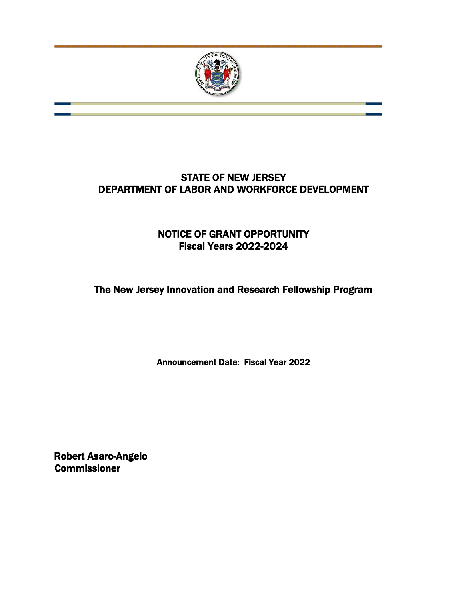

# STATE OF NEW JERSEY DEPARTMENT OF LABOR AND WORKFORCE DEVELOPMENT

# NOTICE OF GRANT OPPORTUNITY Fiscal Years 2022-2024

The New Jersey Innovation and Research Fellowship Program

Announcement Date: Fiscal Year 2022

Robert Asaro-Angelo Commissioner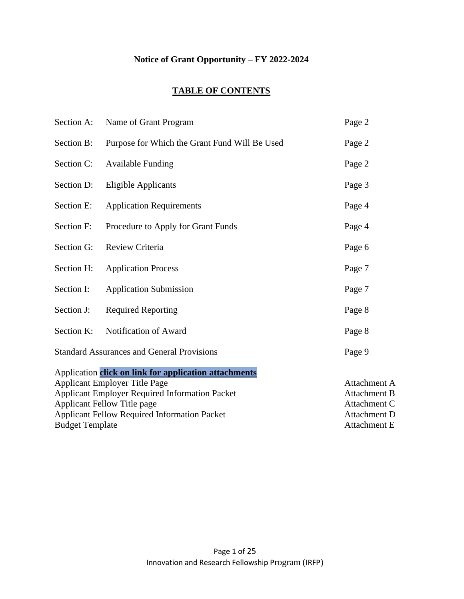# **Notice of Grant Opportunity – FY 2022-2024**

# **TABLE OF CONTENTS**

| Name of Grant Program                                 | Page 2              |
|-------------------------------------------------------|---------------------|
| Purpose for Which the Grant Fund Will Be Used         | Page 2              |
| <b>Available Funding</b>                              | Page 2              |
| <b>Eligible Applicants</b>                            | Page 3              |
| <b>Application Requirements</b>                       | Page 4              |
| Procedure to Apply for Grant Funds                    | Page 4              |
| Review Criteria                                       | Page 6              |
| <b>Application Process</b>                            | Page 7              |
| <b>Application Submission</b>                         | Page 7              |
| <b>Required Reporting</b>                             | Page 8              |
| Notification of Award                                 | Page 8              |
| <b>Standard Assurances and General Provisions</b>     | Page 9              |
| Application click on link for application attachments |                     |
| <b>Applicant Employer Title Page</b>                  | Attachment A        |
| <b>Applicant Employer Required Information Packet</b> | <b>Attachment B</b> |
| <b>Applicant Fellow Title page</b>                    | Attachment C        |
| <b>Applicant Fellow Required Information Packet</b>   | <b>Attachment D</b> |
| <b>Budget Template</b>                                | <b>Attachment E</b> |
|                                                       |                     |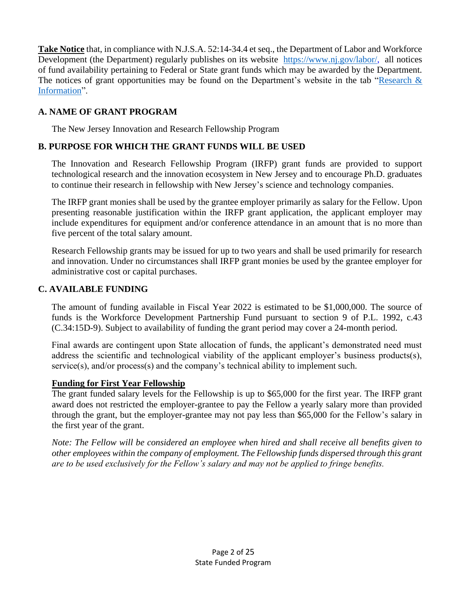**Take Notice** that, in compliance with N.J.S.A. 52:14-34.4 et seq., the Department of Labor and Workforce Development (the Department) regularly publishes on its website [https://www.nj.gov/labor/,](https://www.nj.gov/labor/) all notices of fund availability pertaining to Federal or State grant funds which may be awarded by the Department. The notices of grant opportunities may be found on the Department's website in the tab "Research & [Information"](https://www.nj.gov/labor/programs/grants/ngo_index.html).

# **A. NAME OF GRANT PROGRAM**

The New Jersey Innovation and Research Fellowship Program

# **B. PURPOSE FOR WHICH THE GRANT FUNDS WILL BE USED**

The Innovation and Research Fellowship Program (IRFP) grant funds are provided to support technological research and the innovation ecosystem in New Jersey and to encourage Ph.D. graduates to continue their research in fellowship with New Jersey's science and technology companies.

The IRFP grant monies shall be used by the grantee employer primarily as salary for the Fellow. Upon presenting reasonable justification within the IRFP grant application, the applicant employer may include expenditures for equipment and/or conference attendance in an amount that is no more than five percent of the total salary amount.

Research Fellowship grants may be issued for up to two years and shall be used primarily for research and innovation. Under no circumstances shall IRFP grant monies be used by the grantee employer for administrative cost or capital purchases.

# **C. AVAILABLE FUNDING**

The amount of funding available in Fiscal Year 2022 is estimated to be \$1,000,000. The source of funds is the Workforce Development Partnership Fund pursuant to section 9 of P.L. 1992, c.43 (C.34:15D-9). Subject to availability of funding the grant period may cover a 24-month period.

Final awards are contingent upon State allocation of funds, the applicant's demonstrated need must address the scientific and technological viability of the applicant employer's business products(s), service(s), and/or process(s) and the company's technical ability to implement such.

# **Funding for First Year Fellowship**

The grant funded salary levels for the Fellowship is up to \$65,000 for the first year. The IRFP grant award does not restricted the employer-grantee to pay the Fellow a yearly salary more than provided through the grant, but the employer-grantee may not pay less than \$65,000 for the Fellow's salary in the first year of the grant.

*Note: The Fellow will be considered an employee when hired and shall receive all benefits given to other employees within the company of employment. The Fellowship funds dispersed through this grant are to be used exclusively for the Fellow's salary and may not be applied to fringe benefits.*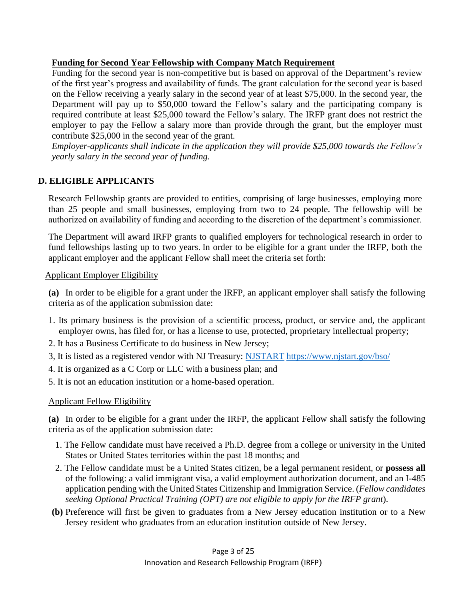# **Funding for Second Year Fellowship with Company Match Requirement**

Funding for the second year is non-competitive but is based on approval of the Department's review of the first year's progress and availability of funds. The grant calculation for the second year is based on the Fellow receiving a yearly salary in the second year of at least \$75,000. In the second year, the Department will pay up to \$50,000 toward the Fellow's salary and the participating company is required contribute at least \$25,000 toward the Fellow's salary. The IRFP grant does not restrict the employer to pay the Fellow a salary more than provide through the grant, but the employer must contribute \$25,000 in the second year of the grant.

*Employer-applicants shall indicate in the application they will provide \$25,000 towards the Fellow's yearly salary in the second year of funding.*

# **D. ELIGIBLE APPLICANTS**

Research Fellowship grants are provided to entities, comprising of large businesses, employing more than 25 people and small businesses, employing from two to 24 people. The fellowship will be authorized on availability of funding and according to the discretion of the department's commissioner.

The Department will award IRFP grants to qualified employers for technological research in order to fund fellowships lasting up to two years. In order to be eligible for a grant under the IRFP, both the applicant employer and the applicant Fellow shall meet the criteria set forth:

### Applicant Employer Eligibility

**(a)** In order to be eligible for a grant under the IRFP, an applicant employer shall satisfy the following criteria as of the application submission date:

- 1. Its primary business is the provision of a scientific process, product, or service and, the applicant employer owns, has filed for, or has a license to use, protected, proprietary intellectual property;
- 2. It has a Business Certificate to do business in New Jersey;
- 3, It is listed as a registered vendor with NJ Treasury: [NJSTART](https://www.njstart.gov/bso/) <https://www.njstart.gov/bso/>
- 4. It is organized as a C Corp or LLC with a business plan; and
- 5. It is not an education institution or a home-based operation.

# Applicant Fellow Eligibility

**(a)** In order to be eligible for a grant under the IRFP, the applicant Fellow shall satisfy the following criteria as of the application submission date:

- 1. The Fellow candidate must have received a Ph.D. degree from a college or university in the United States or United States territories within the past 18 months; and
- 2. The Fellow candidate must be a United States citizen, be a legal permanent resident, or **possess all** of the following: a valid immigrant visa, a valid employment authorization document, and an I-485 application pending with the United States Citizenship and Immigration Service. (*Fellow candidates seeking Optional Practical Training (OPT) are not eligible to apply for the IRFP grant*).
- **(b)** Preference will first be given to graduates from a New Jersey education institution or to a New Jersey resident who graduates from an education institution outside of New Jersey.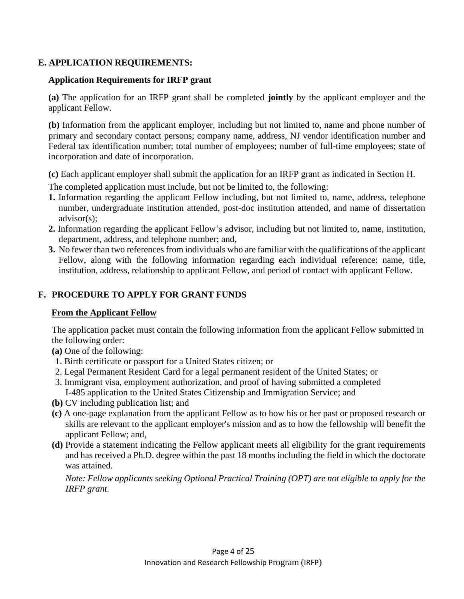# **E. APPLICATION REQUIREMENTS:**

### **Application Requirements for IRFP grant**

**(a)** The application for an IRFP grant shall be completed **jointly** by the applicant employer and the applicant Fellow.

**(b)** Information from the applicant employer, including but not limited to, name and phone number of primary and secondary contact persons; company name, address, NJ vendor identification number and Federal tax identification number; total number of employees; number of full-time employees; state of incorporation and date of incorporation.

**(c)** Each applicant employer shall submit the application for an IRFP grant as indicated in Section H.

The completed application must include, but not be limited to, the following:

- **1.** Information regarding the applicant Fellow including, but not limited to, name, address, telephone number, undergraduate institution attended, post-doc institution attended, and name of dissertation advisor(s);
- **2.** Information regarding the applicant Fellow's advisor, including but not limited to, name, institution, department, address, and telephone number; and,
- **3.** No fewer than two references from individuals who are familiar with the qualifications of the applicant Fellow, along with the following information regarding each individual reference: name, title, institution, address, relationship to applicant Fellow, and period of contact with applicant Fellow.

## **F. PROCEDURE TO APPLY FOR GRANT FUNDS**

### **From the Applicant Fellow**

The application packet must contain the following information from the applicant Fellow submitted in the following order:

- **(a)** One of the following:
- 1. Birth certificate or passport for a United States citizen; or
- 2. Legal Permanent Resident Card for a legal permanent resident of the United States; or
- 3. Immigrant visa, employment authorization, and proof of having submitted a completed I-485 application to the United States Citizenship and Immigration Service; and
- **(b)** CV including publication list; and
- **(c)** A one-page explanation from the applicant Fellow as to how his or her past or proposed research or skills are relevant to the applicant employer's mission and as to how the fellowship will benefit the applicant Fellow; and,
- **(d)** Provide a statement indicating the Fellow applicant meets all eligibility for the grant requirements and has received a Ph.D. degree within the past 18 months including the field in which the doctorate was attained.

*Note: Fellow applicants seeking Optional Practical Training (OPT) are not eligible to apply for the IRFP grant.*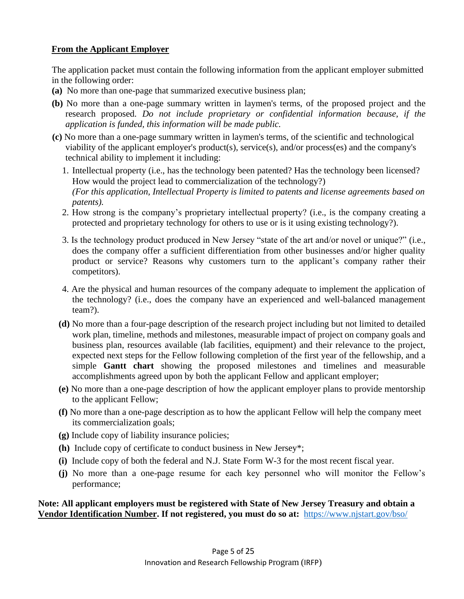# **From the Applicant Employer**

The application packet must contain the following information from the applicant employer submitted in the following order:

- **(a)** No more than one-page that summarized executive business plan;
- **(b)** No more than a one-page summary written in laymen's terms, of the proposed project and the research proposed. *Do not include proprietary or confidential information because, if the application is funded, this information will be made public.*
- **(c)** No more than a one-page summary written in laymen's terms, of the scientific and technological viability of the applicant employer's product(s), service(s), and/or process(es) and the company's technical ability to implement it including:
	- 1. Intellectual property (i.e., has the technology been patented? Has the technology been licensed? How would the project lead to commercialization of the technology?) *(For this application, Intellectual Property is limited to patents and license agreements based on patents).*
	- 2. How strong is the company's proprietary intellectual property? (i.e., is the company creating a protected and proprietary technology for others to use or is it using existing technology?).
	- 3. Is the technology product produced in New Jersey "state of the art and/or novel or unique?" (i.e., does the company offer a sufficient differentiation from other businesses and/or higher quality product or service? Reasons why customers turn to the applicant's company rather their competitors).
	- 4. Are the physical and human resources of the company adequate to implement the application of the technology? (i.e., does the company have an experienced and well-balanced management team?).
	- **(d)** No more than a four-page description of the research project including but not limited to detailed work plan, timeline, methods and milestones, measurable impact of project on company goals and business plan, resources available (lab facilities, equipment) and their relevance to the project, expected next steps for the Fellow following completion of the first year of the fellowship, and a simple **Gantt chart** showing the proposed milestones and timelines and measurable accomplishments agreed upon by both the applicant Fellow and applicant employer;
	- **(e)** No more than a one-page description of how the applicant employer plans to provide mentorship to the applicant Fellow;
	- **(f)** No more than a one-page description as to how the applicant Fellow will help the company meet its commercialization goals;
	- **(g)** Include copy of liability insurance policies;
	- **(h)** Include copy of certificate to conduct business in New Jersey\*;
	- **(i)** Include copy of both the federal and N.J. State Form W-3 for the most recent fiscal year.
	- **(j)** No more than a one-page resume for each key personnel who will monitor the Fellow's performance;

### **Note: All applicant employers must be registered with State of New Jersey Treasury and obtain a Vendor Identification Number. If not registered, you must do so at:**<https://www.njstart.gov/bso/>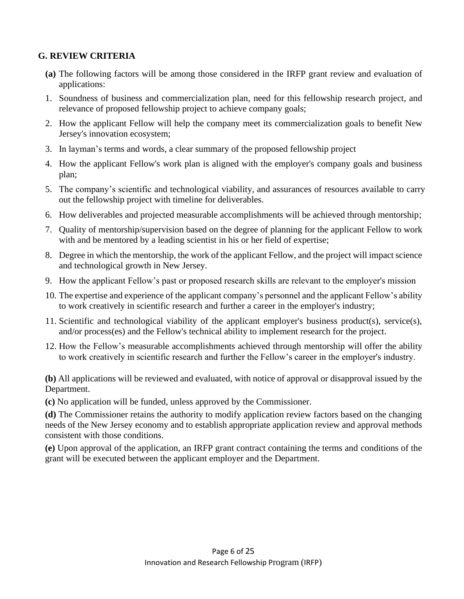# **G. REVIEW CRITERIA**

- **(a)** The following factors will be among those considered in the IRFP grant review and evaluation of applications:
- 1. Soundness of business and commercialization plan, need for this fellowship research project, and relevance of proposed fellowship project to achieve company goals;
- 2. How the applicant Fellow will help the company meet its commercialization goals to benefit New Jersey's innovation ecosystem;
- 3. In layman's terms and words, a clear summary of the proposed fellowship project
- 4. How the applicant Fellow's work plan is aligned with the employer's company goals and business plan;
- 5. The company's scientific and technological viability, and assurances of resources available to carry out the fellowship project with timeline for deliverables.
- 6. How deliverables and projected measurable accomplishments will be achieved through mentorship;
- 7. Quality of mentorship/supervision based on the degree of planning for the applicant Fellow to work with and be mentored by a leading scientist in his or her field of expertise;
- 8. Degree in which the mentorship, the work of the applicant Fellow, and the project will impact science and technological growth in New Jersey.
- 9. How the applicant Fellow's past or proposed research skills are relevant to the employer's mission
- 10. The expertise and experience of the applicant company's personnel and the applicant Fellow's ability to work creatively in scientific research and further a career in the employer's industry;
- 11. Scientific and technological viability of the applicant employer's business product(s), service(s), and/or process(es) and the Fellow's technical ability to implement research for the project.
- 12. How the Fellow's measurable accomplishments achieved through mentorship will offer the ability to work creatively in scientific research and further the Fellow's career in the employer's industry.

**(b)** All applications will be reviewed and evaluated, with notice of approval or disapproval issued by the Department.

**(c)** No application will be funded, unless approved by the Commissioner.

**(d)** The Commissioner retains the authority to modify application review factors based on the changing needs of the New Jersey economy and to establish appropriate application review and approval methods consistent with those conditions.

**(e)** Upon approval of the application, an IRFP grant contract containing the terms and conditions of the grant will be executed between the applicant employer and the Department.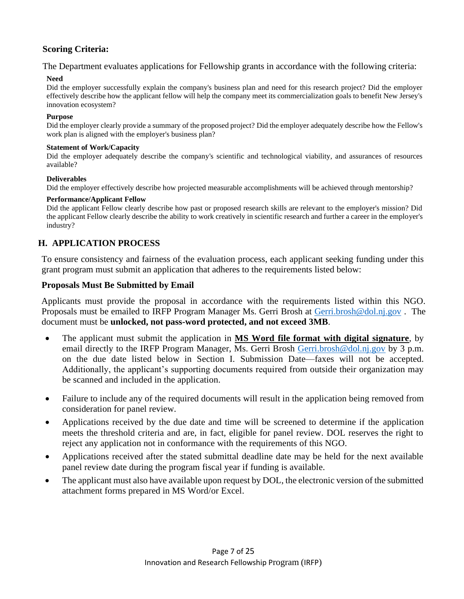# **Scoring Criteria:**

The Department evaluates applications for Fellowship grants in accordance with the following criteria:

### **Need**

Did the employer successfully explain the company's business plan and need for this research project? Did the employer effectively describe how the applicant fellow will help the company meet its commercialization goals to benefit New Jersey's innovation ecosystem?

### **Purpose**

Did the employer clearly provide a summary of the proposed project? Did the employer adequately describe how the Fellow's work plan is aligned with the employer's business plan?

### **Statement of Work/Capacity**

Did the employer adequately describe the company's scientific and technological viability, and assurances of resources available?

### **Deliverables**

Did the employer effectively describe how projected measurable accomplishments will be achieved through mentorship?

### **Performance/Applicant Fellow**

Did the applicant Fellow clearly describe how past or proposed research skills are relevant to the employer's mission? Did the applicant Fellow clearly describe the ability to work creatively in scientific research and further a career in the employer's industry?

# **H. APPLICATION PROCESS**

To ensure consistency and fairness of the evaluation process, each applicant seeking funding under this grant program must submit an application that adheres to the requirements listed below:

### **Proposals Must Be Submitted by Email**

Applicants must provide the proposal in accordance with the requirements listed within this NGO. Proposals must be emailed to IRFP Program Manager Ms. Gerri Brosh at [Gerri.brosh@dol.nj.gov](mailto:Gerri.brosh@dol.nj.gov). The document must be **unlocked, not pass-word protected, and not exceed 3MB**.

- The applicant must submit the application in **MS Word file format with digital signature**, by email directly to the IRFP Program Manager, Ms. Gerri Brosh [Gerri.brosh@dol.nj.gov](mailto:Gerri.brosh@dol.nj.gov) by 3 p.m. on the due date listed below in Section I. Submission Date—faxes will not be accepted. Additionally, the applicant's supporting documents required from outside their organization may be scanned and included in the application.
- Failure to include any of the required documents will result in the application being removed from consideration for panel review.
- Applications received by the due date and time will be screened to determine if the application meets the threshold criteria and are, in fact, eligible for panel review. DOL reserves the right to reject any application not in conformance with the requirements of this NGO.
- Applications received after the stated submittal deadline date may be held for the next available panel review date during the program fiscal year if funding is available.
- The applicant must also have available upon request by DOL, the electronic version of the submitted attachment forms prepared in MS Word/or Excel.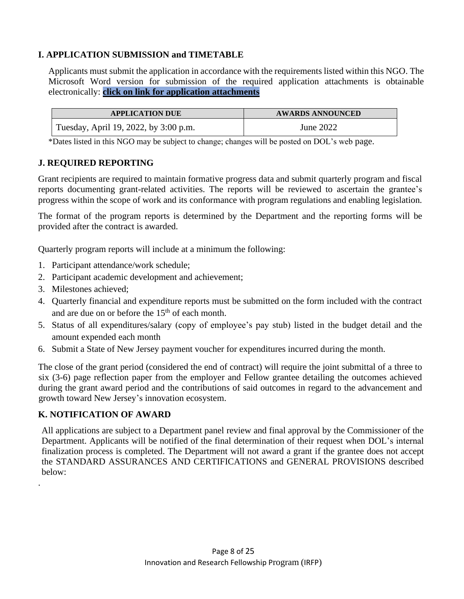# **I. APPLICATION SUBMISSION and TIMETABLE**

Applicants must submit the application in accordance with the requirements listed within this NGO. The Microsoft Word version for submission of the required application attachments is obtainable electronically: **[click on link for application attachments](http://www.nj.gov/labor/wioa/documents/NGO/Workforce_Training/FY22-002_Attachments_NGO-%20Innovation%20Research%20Fellowship%20Program-IRFP.docx)**

| <b>APPLICATION DUE</b>                | <b>AWARDS ANNOUNCED</b> |
|---------------------------------------|-------------------------|
| Tuesday, April 19, 2022, by 3:00 p.m. | June 2022               |

\*Dates listed in this NGO may be subject to change; changes will be posted on DOL's web page.

# **J. REQUIRED REPORTING**

Grant recipients are required to maintain formative progress data and submit quarterly program and fiscal reports documenting grant-related activities. The reports will be reviewed to ascertain the grantee's progress within the scope of work and its conformance with program regulations and enabling legislation.

The format of the program reports is determined by the Department and the reporting forms will be provided after the contract is awarded.

Quarterly program reports will include at a minimum the following:

- 1. Participant attendance/work schedule;
- 2. Participant academic development and achievement;
- 3. Milestones achieved;
- 4. Quarterly financial and expenditure reports must be submitted on the form included with the contract and are due on or before the  $15<sup>th</sup>$  of each month.
- 5. Status of all expenditures/salary (copy of employee's pay stub) listed in the budget detail and the amount expended each month
- 6. Submit a State of New Jersey payment voucher for expenditures incurred during the month.

The close of the grant period (considered the end of contract) will require the joint submittal of a three to six (3-6) page reflection paper from the employer and Fellow grantee detailing the outcomes achieved during the grant award period and the contributions of said outcomes in regard to the advancement and growth toward New Jersey's innovation ecosystem.

# **K. NOTIFICATION OF AWARD**

.

All applications are subject to a Department panel review and final approval by the Commissioner of the Department. Applicants will be notified of the final determination of their request when DOL's internal finalization process is completed. The Department will not award a grant if the grantee does not accept the STANDARD ASSURANCES AND CERTIFICATIONS and GENERAL PROVISIONS described below: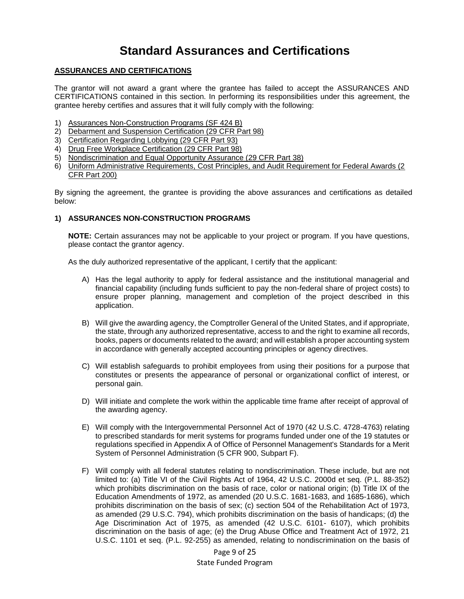# **Standard Assurances and Certifications**

### **ASSURANCES AND CERTIFICATIONS**

The grantor will not award a grant where the grantee has failed to accept the ASSURANCES AND CERTIFICATIONS contained in this section. In performing its responsibilities under this agreement, the grantee hereby certifies and assures that it will fully comply with the following:

- 1) Assurances Non-Construction Programs (SF 424 B)
- 2) Debarment and Suspension Certification (29 CFR Part 98)
- 3) Certification Regarding Lobbying (29 CFR Part 93)
- 4) Drug Free Workplace Certification (29 CFR Part 98)
- 5) Nondiscrimination and Equal Opportunity Assurance (29 CFR Part 38)
- 6) Uniform Administrative Requirements, Cost Principles, and Audit Requirement for Federal Awards (2 CFR Part 200)

By signing the agreement, the grantee is providing the above assurances and certifications as detailed below:

### **1) ASSURANCES NON-CONSTRUCTION PROGRAMS**

**NOTE:** Certain assurances may not be applicable to your project or program. If you have questions, please contact the grantor agency.

As the duly authorized representative of the applicant, I certify that the applicant:

- A) Has the legal authority to apply for federal assistance and the institutional managerial and financial capability (including funds sufficient to pay the non-federal share of project costs) to ensure proper planning, management and completion of the project described in this application.
- B) Will give the awarding agency, the Comptroller General of the United States, and if appropriate, the state, through any authorized representative, access to and the right to examine all records, books, papers or documents related to the award; and will establish a proper accounting system in accordance with generally accepted accounting principles or agency directives.
- C) Will establish safeguards to prohibit employees from using their positions for a purpose that constitutes or presents the appearance of personal or organizational conflict of interest, or personal gain.
- D) Will initiate and complete the work within the applicable time frame after receipt of approval of the awarding agency.
- E) Will comply with the Intergovernmental Personnel Act of 1970 (42 U.S.C. 4728-4763) relating to prescribed standards for merit systems for programs funded under one of the 19 statutes or regulations specified in Appendix A of Office of Personnel Management's Standards for a Merit System of Personnel Administration (5 CFR 900, Subpart F).
- F) Will comply with all federal statutes relating to nondiscrimination. These include, but are not limited to: (a) Title VI of the Civil Rights Act of 1964, 42 U.S.C. 2000d et seq. (P.L. 88-352) which prohibits discrimination on the basis of race, color or national origin; (b) Title IX of the Education Amendments of 1972, as amended (20 U.S.C. 1681-1683, and 1685-1686), which prohibits discrimination on the basis of sex; (c) section 504 of the Rehabilitation Act of 1973, as amended (29 U.S.C. 794), which prohibits discrimination on the basis of handicaps; (d) the Age Discrimination Act of 1975, as amended (42 U.S.C. 6101- 6107), which prohibits discrimination on the basis of age; (e) the Drug Abuse Office and Treatment Act of 1972, 21 U.S.C. 1101 et seq. (P.L. 92-255) as amended, relating to nondiscrimination on the basis of

Page 9 of 25 State Funded Program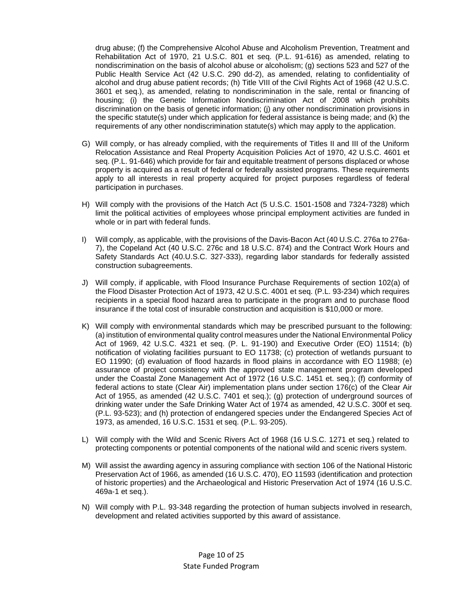drug abuse; (f) the Comprehensive Alcohol Abuse and Alcoholism Prevention, Treatment and Rehabilitation Act of 1970, 21 U.S.C. 801 et seq. (P.L. 91-616) as amended, relating to nondiscrimination on the basis of alcohol abuse or alcoholism; (g) sections 523 and 527 of the Public Health Service Act (42 U.S.C. 290 dd-2), as amended, relating to confidentiality of alcohol and drug abuse patient records; (h) Title VIII of the Civil Rights Act of 1968 (42 U.S.C. 3601 et seq.), as amended, relating to nondiscrimination in the sale, rental or financing of housing; (i) the Genetic Information Nondiscrimination Act of 2008 which prohibits discrimination on the basis of genetic information; (j) any other nondiscrimination provisions in the specific statute(s) under which application for federal assistance is being made; and (k) the requirements of any other nondiscrimination statute(s) which may apply to the application.

- G) Will comply, or has already complied, with the requirements of Titles II and III of the Uniform Relocation Assistance and Real Property Acquisition Policies Act of 1970, 42 U.S.C. 4601 et seq. (P.L. 91-646) which provide for fair and equitable treatment of persons displaced or whose property is acquired as a result of federal or federally assisted programs. These requirements apply to all interests in real property acquired for project purposes regardless of federal participation in purchases.
- H) Will comply with the provisions of the Hatch Act (5 U.S.C. 1501-1508 and 7324-7328) which limit the political activities of employees whose principal employment activities are funded in whole or in part with federal funds.
- I) Will comply, as applicable, with the provisions of the Davis-Bacon Act (40 U.S.C. 276a to 276a-7), the Copeland Act (40 U.S.C. 276c and 18 U.S.C. 874) and the Contract Work Hours and Safety Standards Act (40.U.S.C. 327-333), regarding labor standards for federally assisted construction subagreements.
- J) Will comply, if applicable, with Flood Insurance Purchase Requirements of section 102(a) of the Flood Disaster Protection Act of 1973, 42 U.S.C. 4001 et seq. (P.L. 93-234) which requires recipients in a special flood hazard area to participate in the program and to purchase flood insurance if the total cost of insurable construction and acquisition is \$10,000 or more.
- K) Will comply with environmental standards which may be prescribed pursuant to the following: (a) institution of environmental quality control measures under the National Environmental Policy Act of 1969, 42 U.S.C. 4321 et seq. (P. L. 91-190) and Executive Order (EO) 11514; (b) notification of violating facilities pursuant to EO 11738; (c) protection of wetlands pursuant to EO 11990; (d) evaluation of flood hazards in flood plains in accordance with EO 11988; (e) assurance of project consistency with the approved state management program developed under the Coastal Zone Management Act of 1972 (16 U.S.C. 1451 et. seq.); (f) conformity of federal actions to state (Clear Air) implementation plans under section 176(c) of the Clear Air Act of 1955, as amended (42 U.S.C. 7401 et seq.); (g) protection of underground sources of drinking water under the Safe Drinking Water Act of 1974 as amended, 42 U.S.C. 300f et seq. (P.L. 93-523); and (h) protection of endangered species under the Endangered Species Act of 1973, as amended, 16 U.S.C. 1531 et seq. (P.L. 93-205).
- L) Will comply with the Wild and Scenic Rivers Act of 1968 (16 U.S.C. 1271 et seq.) related to protecting components or potential components of the national wild and scenic rivers system.
- M) Will assist the awarding agency in assuring compliance with section 106 of the National Historic Preservation Act of 1966, as amended (16 U.S.C. 470), EO 11593 (identification and protection of historic properties) and the Archaeological and Historic Preservation Act of 1974 (16 U.S.C. 469a-1 et seq.).
- N) Will comply with P.L. 93-348 regarding the protection of human subjects involved in research, development and related activities supported by this award of assistance.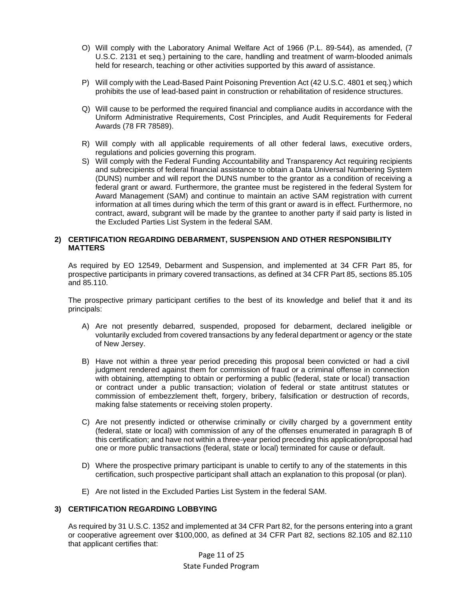- O) Will comply with the Laboratory Animal Welfare Act of 1966 (P.L. 89-544), as amended, (7 U.S.C. 2131 et seq.) pertaining to the care, handling and treatment of warm-blooded animals held for research, teaching or other activities supported by this award of assistance.
- P) Will comply with the Lead-Based Paint Poisoning Prevention Act (42 U.S.C. 4801 et seq.) which prohibits the use of lead-based paint in construction or rehabilitation of residence structures.
- Q) Will cause to be performed the required financial and compliance audits in accordance with the Uniform Administrative Requirements, Cost Principles, and Audit Requirements for Federal Awards (78 FR 78589).
- R) Will comply with all applicable requirements of all other federal laws, executive orders, regulations and policies governing this program.
- S) Will comply with the Federal Funding Accountability and Transparency Act requiring recipients and subrecipients of federal financial assistance to obtain a Data Universal Numbering System (DUNS) number and will report the DUNS number to the grantor as a condition of receiving a federal grant or award. Furthermore, the grantee must be registered in the federal System for Award Management (SAM) and continue to maintain an active SAM registration with current information at all times during which the term of this grant or award is in effect. Furthermore, no contract, award, subgrant will be made by the grantee to another party if said party is listed in the Excluded Parties List System in the federal SAM.

#### **2) CERTIFICATION REGARDING DEBARMENT, SUSPENSION AND OTHER RESPONSIBILITY MATTERS**

As required by EO 12549, Debarment and Suspension, and implemented at 34 CFR Part 85, for prospective participants in primary covered transactions, as defined at 34 CFR Part 85, sections 85.105 and 85.110.

The prospective primary participant certifies to the best of its knowledge and belief that it and its principals:

- A) Are not presently debarred, suspended, proposed for debarment, declared ineligible or voluntarily excluded from covered transactions by any federal department or agency or the state of New Jersey.
- B) Have not within a three year period preceding this proposal been convicted or had a civil judgment rendered against them for commission of fraud or a criminal offense in connection with obtaining, attempting to obtain or performing a public (federal, state or local) transaction or contract under a public transaction; violation of federal or state antitrust statutes or commission of embezzlement theft, forgery, bribery, falsification or destruction of records, making false statements or receiving stolen property.
- C) Are not presently indicted or otherwise criminally or civilly charged by a government entity (federal, state or local) with commission of any of the offenses enumerated in paragraph B of this certification; and have not within a three-year period preceding this application/proposal had one or more public transactions (federal, state or local) terminated for cause or default.
- D) Where the prospective primary participant is unable to certify to any of the statements in this certification, such prospective participant shall attach an explanation to this proposal (or plan).
- E) Are not listed in the Excluded Parties List System in the federal SAM.

#### **3) CERTIFICATION REGARDING LOBBYING**

As required by 31 U.S.C. 1352 and implemented at 34 CFR Part 82, for the persons entering into a grant or cooperative agreement over \$100,000, as defined at 34 CFR Part 82, sections 82.105 and 82.110 that applicant certifies that: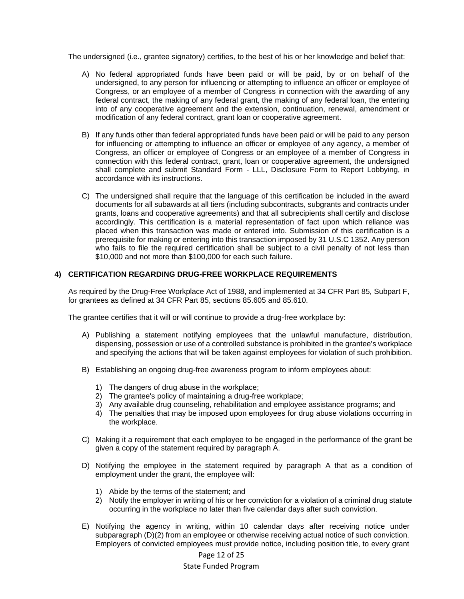The undersigned (i.e., grantee signatory) certifies, to the best of his or her knowledge and belief that:

- A) No federal appropriated funds have been paid or will be paid, by or on behalf of the undersigned, to any person for influencing or attempting to influence an officer or employee of Congress, or an employee of a member of Congress in connection with the awarding of any federal contract, the making of any federal grant, the making of any federal loan, the entering into of any cooperative agreement and the extension, continuation, renewal, amendment or modification of any federal contract, grant loan or cooperative agreement.
- B) If any funds other than federal appropriated funds have been paid or will be paid to any person for influencing or attempting to influence an officer or employee of any agency, a member of Congress, an officer or employee of Congress or an employee of a member of Congress in connection with this federal contract, grant, loan or cooperative agreement, the undersigned shall complete and submit Standard Form - LLL, Disclosure Form to Report Lobbying, in accordance with its instructions.
- C) The undersigned shall require that the language of this certification be included in the award documents for all subawards at all tiers (including subcontracts, subgrants and contracts under grants, loans and cooperative agreements) and that all subrecipients shall certify and disclose accordingly. This certification is a material representation of fact upon which reliance was placed when this transaction was made or entered into. Submission of this certification is a prerequisite for making or entering into this transaction imposed by 31 U.S.C 1352. Any person who fails to file the required certification shall be subject to a civil penalty of not less than \$10,000 and not more than \$100,000 for each such failure.

#### **4) CERTIFICATION REGARDING DRUG-FREE WORKPLACE REQUIREMENTS**

As required by the Drug-Free Workplace Act of 1988, and implemented at 34 CFR Part 85, Subpart F, for grantees as defined at 34 CFR Part 85, sections 85.605 and 85.610.

The grantee certifies that it will or will continue to provide a drug-free workplace by:

- A) Publishing a statement notifying employees that the unlawful manufacture, distribution, dispensing, possession or use of a controlled substance is prohibited in the grantee's workplace and specifying the actions that will be taken against employees for violation of such prohibition.
- B) Establishing an ongoing drug-free awareness program to inform employees about:
	- 1) The dangers of drug abuse in the workplace;
	- 2) The grantee's policy of maintaining a drug-free workplace;
	- 3) Any available drug counseling, rehabilitation and employee assistance programs; and
	- 4) The penalties that may be imposed upon employees for drug abuse violations occurring in the workplace.
- C) Making it a requirement that each employee to be engaged in the performance of the grant be given a copy of the statement required by paragraph A.
- D) Notifying the employee in the statement required by paragraph A that as a condition of employment under the grant, the employee will:
	- 1) Abide by the terms of the statement; and
	- 2) Notify the employer in writing of his or her conviction for a violation of a criminal drug statute occurring in the workplace no later than five calendar days after such conviction.
- E) Notifying the agency in writing, within 10 calendar days after receiving notice under subparagraph (D)(2) from an employee or otherwise receiving actual notice of such conviction. Employers of convicted employees must provide notice, including position title, to every grant

Page 12 of 25

#### State Funded Program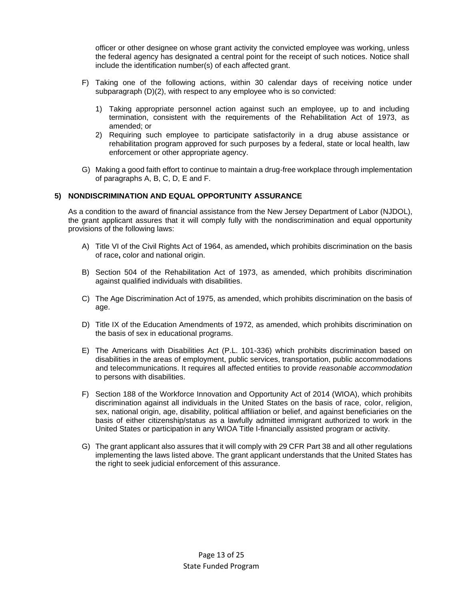officer or other designee on whose grant activity the convicted employee was working, unless the federal agency has designated a central point for the receipt of such notices. Notice shall include the identification number(s) of each affected grant.

- F) Taking one of the following actions, within 30 calendar days of receiving notice under subparagraph (D)(2), with respect to any employee who is so convicted:
	- 1) Taking appropriate personnel action against such an employee, up to and including termination, consistent with the requirements of the Rehabilitation Act of 1973, as amended; or
	- 2) Requiring such employee to participate satisfactorily in a drug abuse assistance or rehabilitation program approved for such purposes by a federal, state or local health, law enforcement or other appropriate agency.
- G) Making a good faith effort to continue to maintain a drug-free workplace through implementation of paragraphs A, B, C, D, E and F.

#### **5) NONDISCRIMINATION AND EQUAL OPPORTUNITY ASSURANCE**

As a condition to the award of financial assistance from the New Jersey Department of Labor (NJDOL), the grant applicant assures that it will comply fully with the nondiscrimination and equal opportunity provisions of the following laws:

- A) Title VI of the Civil Rights Act of 1964, as amended**,** which prohibits discrimination on the basis of race**,** color and national origin.
- B) Section 504 of the Rehabilitation Act of 1973, as amended, which prohibits discrimination against qualified individuals with disabilities.
- C) The Age Discrimination Act of 1975, as amended, which prohibits discrimination on the basis of age.
- D) Title IX of the Education Amendments of 1972, as amended, which prohibits discrimination on the basis of sex in educational programs.
- E) The Americans with Disabilities Act (P.L. 101-336) which prohibits discrimination based on disabilities in the areas of employment, public services, transportation, public accommodations and telecommunications. It requires all affected entities to provide *reasonable accommodation* to persons with disabilities.
- F) Section 188 of the Workforce Innovation and Opportunity Act of 2014 (WIOA), which prohibits discrimination against all individuals in the United States on the basis of race, color, religion, sex, national origin, age, disability, political affiliation or belief, and against beneficiaries on the basis of either citizenship/status as a lawfully admitted immigrant authorized to work in the United States or participation in any WIOA Title I-financially assisted program or activity.
- G) The grant applicant also assures that it will comply with 29 CFR Part 38 and all other regulations implementing the laws listed above. The grant applicant understands that the United States has the right to seek judicial enforcement of this assurance.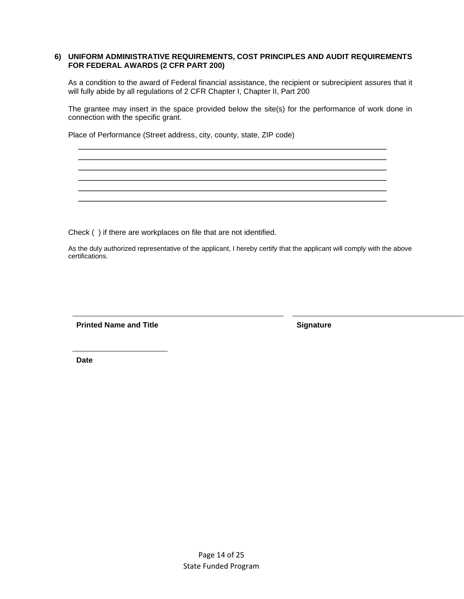#### **6) UNIFORM ADMINISTRATIVE REQUIREMENTS, COST PRINCIPLES AND AUDIT REQUIREMENTS FOR FEDERAL AWARDS (2 CFR PART 200)**

As a condition to the award of Federal financial assistance, the recipient or subrecipient assures that it will fully abide by all regulations of 2 CFR Chapter I, Chapter II, Part 200

The grantee may insert in the space provided below the site(s) for the performance of work done in connection with the specific grant.

 $\overline{\phantom{a}}$  , and the contribution of the contribution of the contribution of the contribution of the contribution of the contribution of the contribution of the contribution of the contribution of the contribution of the  $\overline{\phantom{a}}$  , and the contribution of the contribution of the contribution of the contribution of the contribution of the contribution of the contribution of the contribution of the contribution of the contribution of the  $\overline{\phantom{a}}$  , and the contribution of the contribution of the contribution of the contribution of the contribution of the contribution of the contribution of the contribution of the contribution of the contribution of the  $\overline{\phantom{a}}$  , and the contribution of the contribution of the contribution of the contribution of the contribution of the contribution of the contribution of the contribution of the contribution of the contribution of the  $\overline{\phantom{a}}$  , and the contribution of the contribution of the contribution of the contribution of the contribution of the contribution of the contribution of the contribution of the contribution of the contribution of the  $\overline{\phantom{a}}$  , and the contribution of the contribution of the contribution of the contribution of the contribution of the contribution of the contribution of the contribution of the contribution of the contribution of the

Place of Performance (Street address, city, county, state, ZIP code)

Check ( ) if there are workplaces on file that are not identified.

As the duly authorized representative of the applicant, I hereby certify that the applicant will comply with the above certifications.

**Printed Name and Title Signature Signature** 

**Date**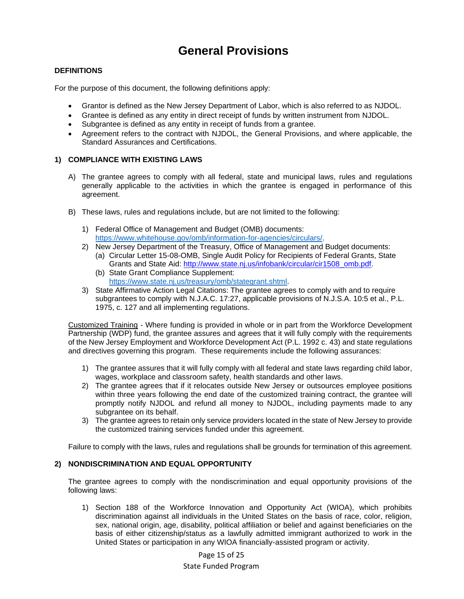# **General Provisions**

### **DEFINITIONS**

For the purpose of this document, the following definitions apply:

- Grantor is defined as the New Jersey Department of Labor, which is also referred to as NJDOL.
- Grantee is defined as any entity in direct receipt of funds by written instrument from NJDOL.
- Subgrantee is defined as any entity in receipt of funds from a grantee.
- Agreement refers to the contract with NJDOL, the General Provisions, and where applicable, the Standard Assurances and Certifications.

#### **1) COMPLIANCE WITH EXISTING LAWS**

- A) The grantee agrees to comply with all federal, state and municipal laws, rules and regulations generally applicable to the activities in which the grantee is engaged in performance of this agreement.
- B) These laws, rules and regulations include, but are not limited to the following:
	- 1) Federal Office of Management and Budget (OMB) documents: [https://www.whitehouse.gov/omb/information-for-agencies/circulars/.](https://www.whitehouse.gov/omb/information-for-agencies/circulars/)
	- 2) New Jersey Department of the Treasury, Office of Management and Budget documents: (a) Circular Letter 15-08-OMB, Single Audit Policy for Recipients of Federal Grants, State Grants and State Aid: [http://www.state.nj.us/infobank/circular/cir1508\\_omb.pdf.](http://www.state.nj.us/infobank/circular/cir1508_omb.pdf)
		- (b) State Grant Compliance Supplement: [https://www.state.nj.us/treasury/omb/stategrant.shtml.](https://www.state.nj.us/treasury/omb/stategrant.shtml)
	- 3) State Affirmative Action Legal Citations: The grantee agrees to comply with and to require subgrantees to comply with N.J.A.C. 17:27, applicable provisions of N.J.S.A. 10:5 et al., P.L. 1975, c. 127 and all implementing regulations.

Customized Training - Where funding is provided in whole or in part from the Workforce Development Partnership (WDP) fund, the grantee assures and agrees that it will fully comply with the requirements of the New Jersey Employment and Workforce Development Act (P.L. 1992 c. 43) and state regulations and directives governing this program. These requirements include the following assurances:

- 1) The grantee assures that it will fully comply with all federal and state laws regarding child labor, wages, workplace and classroom safety, health standards and other laws.
- 2) The grantee agrees that if it relocates outside New Jersey or outsources employee positions within three years following the end date of the customized training contract, the grantee will promptly notify NJDOL and refund all money to NJDOL, including payments made to any subgrantee on its behalf.
- 3) The grantee agrees to retain only service providers located in the state of New Jersey to provide the customized training services funded under this agreement.

Failure to comply with the laws, rules and regulations shall be grounds for termination of this agreement.

#### **2) NONDISCRIMINATION AND EQUAL OPPORTUNITY**

The grantee agrees to comply with the nondiscrimination and equal opportunity provisions of the following laws:

1) Section 188 of the Workforce Innovation and Opportunity Act (WIOA), which prohibits discrimination against all individuals in the United States on the basis of race, color, religion, sex, national origin, age, disability, political affiliation or belief and against beneficiaries on the basis of either citizenship/status as a lawfully admitted immigrant authorized to work in the United States or participation in any WIOA financially-assisted program or activity.

Page 15 of 25

#### State Funded Program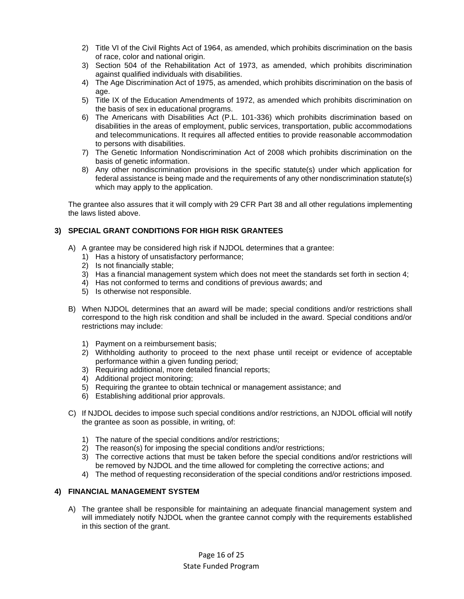- 2) Title VI of the Civil Rights Act of 1964, as amended, which prohibits discrimination on the basis of race, color and national origin.
- 3) Section 504 of the Rehabilitation Act of 1973, as amended, which prohibits discrimination against qualified individuals with disabilities.
- 4) The Age Discrimination Act of 1975, as amended, which prohibits discrimination on the basis of age.
- 5) Title IX of the Education Amendments of 1972, as amended which prohibits discrimination on the basis of sex in educational programs.
- 6) The Americans with Disabilities Act (P.L. 101-336) which prohibits discrimination based on disabilities in the areas of employment, public services, transportation, public accommodations and telecommunications. It requires all affected entities to provide reasonable accommodation to persons with disabilities.
- 7) The Genetic Information Nondiscrimination Act of 2008 which prohibits discrimination on the basis of genetic information.
- 8) Any other nondiscrimination provisions in the specific statute(s) under which application for federal assistance is being made and the requirements of any other nondiscrimination statute(s) which may apply to the application.

The grantee also assures that it will comply with 29 CFR Part 38 and all other regulations implementing the laws listed above.

### **3) SPECIAL GRANT CONDITIONS FOR HIGH RISK GRANTEES**

- A) A grantee may be considered high risk if NJDOL determines that a grantee:
	- 1) Has a history of unsatisfactory performance;
	- 2) Is not financially stable;
	- 3) Has a financial management system which does not meet the standards set forth in section 4;
	- 4) Has not conformed to terms and conditions of previous awards; and
	- 5) Is otherwise not responsible.
- B) When NJDOL determines that an award will be made; special conditions and/or restrictions shall correspond to the high risk condition and shall be included in the award. Special conditions and/or restrictions may include:
	- 1) Payment on a reimbursement basis;
	- 2) Withholding authority to proceed to the next phase until receipt or evidence of acceptable performance within a given funding period;
	- 3) Requiring additional, more detailed financial reports;
	- 4) Additional project monitoring;
	- 5) Requiring the grantee to obtain technical or management assistance; and
	- 6) Establishing additional prior approvals.
- C) If NJDOL decides to impose such special conditions and/or restrictions, an NJDOL official will notify the grantee as soon as possible, in writing, of:
	- 1) The nature of the special conditions and/or restrictions;
	- 2) The reason(s) for imposing the special conditions and/or restrictions;
	- 3) The corrective actions that must be taken before the special conditions and/or restrictions will be removed by NJDOL and the time allowed for completing the corrective actions; and
	- 4) The method of requesting reconsideration of the special conditions and/or restrictions imposed.

### **4) FINANCIAL MANAGEMENT SYSTEM**

A) The grantee shall be responsible for maintaining an adequate financial management system and will immediately notify NJDOL when the grantee cannot comply with the requirements established in this section of the grant.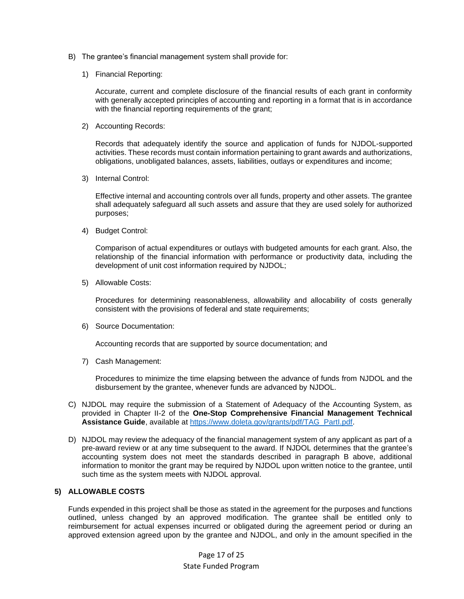- B) The grantee's financial management system shall provide for:
	- 1) Financial Reporting:

Accurate, current and complete disclosure of the financial results of each grant in conformity with generally accepted principles of accounting and reporting in a format that is in accordance with the financial reporting requirements of the grant;

2) Accounting Records:

Records that adequately identify the source and application of funds for NJDOL-supported activities. These records must contain information pertaining to grant awards and authorizations, obligations, unobligated balances, assets, liabilities, outlays or expenditures and income;

3) Internal Control:

Effective internal and accounting controls over all funds, property and other assets. The grantee shall adequately safeguard all such assets and assure that they are used solely for authorized purposes;

4) Budget Control:

Comparison of actual expenditures or outlays with budgeted amounts for each grant. Also, the relationship of the financial information with performance or productivity data, including the development of unit cost information required by NJDOL;

5) Allowable Costs:

Procedures for determining reasonableness, allowability and allocability of costs generally consistent with the provisions of federal and state requirements;

6) Source Documentation:

Accounting records that are supported by source documentation; and

7) Cash Management:

Procedures to minimize the time elapsing between the advance of funds from NJDOL and the disbursement by the grantee, whenever funds are advanced by NJDOL.

- C) NJDOL may require the submission of a Statement of Adequacy of the Accounting System, as provided in Chapter II-2 of the **One-Stop Comprehensive Financial Management Technical Assistance Guide**, available at [https://www.doleta.gov/grants/pdf/TAG\\_PartI.pdf.](https://www.doleta.gov/grants/pdf/TAG_PartI.pdf)
- D) NJDOL may review the adequacy of the financial management system of any applicant as part of a pre-award review or at any time subsequent to the award. If NJDOL determines that the grantee's accounting system does not meet the standards described in paragraph B above, additional information to monitor the grant may be required by NJDOL upon written notice to the grantee, until such time as the system meets with NJDOL approval.

#### **5) ALLOWABLE COSTS**

Funds expended in this project shall be those as stated in the agreement for the purposes and functions outlined, unless changed by an approved modification. The grantee shall be entitled only to reimbursement for actual expenses incurred or obligated during the agreement period or during an approved extension agreed upon by the grantee and NJDOL, and only in the amount specified in the

> Page 17 of 25 State Funded Program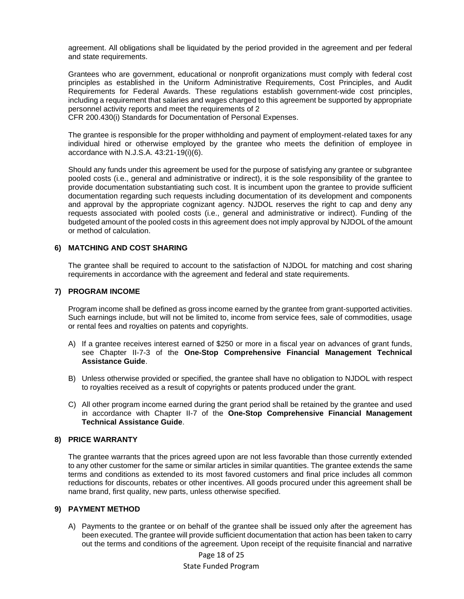agreement. All obligations shall be liquidated by the period provided in the agreement and per federal and state requirements.

Grantees who are government, educational or nonprofit organizations must comply with federal cost principles as established in the Uniform Administrative Requirements, Cost Principles, and Audit Requirements for Federal Awards. These regulations establish government-wide cost principles, including a requirement that salaries and wages charged to this agreement be supported by appropriate personnel activity reports and meet the requirements of 2

CFR 200.430(i) Standards for Documentation of Personal Expenses.

The grantee is responsible for the proper withholding and payment of employment-related taxes for any individual hired or otherwise employed by the grantee who meets the definition of employee in accordance with N.J.S.A. 43:21-19(i)(6).

Should any funds under this agreement be used for the purpose of satisfying any grantee or subgrantee pooled costs (i.e., general and administrative or indirect), it is the sole responsibility of the grantee to provide documentation substantiating such cost. It is incumbent upon the grantee to provide sufficient documentation regarding such requests including documentation of its development and components and approval by the appropriate cognizant agency. NJDOL reserves the right to cap and deny any requests associated with pooled costs (i.e., general and administrative or indirect). Funding of the budgeted amount of the pooled costs in this agreement does not imply approval by NJDOL of the amount or method of calculation.

#### **6) MATCHING AND COST SHARING**

The grantee shall be required to account to the satisfaction of NJDOL for matching and cost sharing requirements in accordance with the agreement and federal and state requirements.

#### **7) PROGRAM INCOME**

Program income shall be defined as gross income earned by the grantee from grant-supported activities. Such earnings include, but will not be limited to, income from service fees, sale of commodities, usage or rental fees and royalties on patents and copyrights.

- A) If a grantee receives interest earned of \$250 or more in a fiscal year on advances of grant funds, see Chapter II-7-3 of the **One-Stop Comprehensive Financial Management Technical Assistance Guide**.
- B) Unless otherwise provided or specified, the grantee shall have no obligation to NJDOL with respect to royalties received as a result of copyrights or patents produced under the grant.
- C) All other program income earned during the grant period shall be retained by the grantee and used in accordance with Chapter II-7 of the **One-Stop Comprehensive Financial Management Technical Assistance Guide**.

#### **8) PRICE WARRANTY**

The grantee warrants that the prices agreed upon are not less favorable than those currently extended to any other customer for the same or similar articles in similar quantities. The grantee extends the same terms and conditions as extended to its most favored customers and final price includes all common reductions for discounts, rebates or other incentives. All goods procured under this agreement shall be name brand, first quality, new parts, unless otherwise specified.

#### **9) PAYMENT METHOD**

A) Payments to the grantee or on behalf of the grantee shall be issued only after the agreement has been executed. The grantee will provide sufficient documentation that action has been taken to carry out the terms and conditions of the agreement. Upon receipt of the requisite financial and narrative

> Page 18 of 25 State Funded Program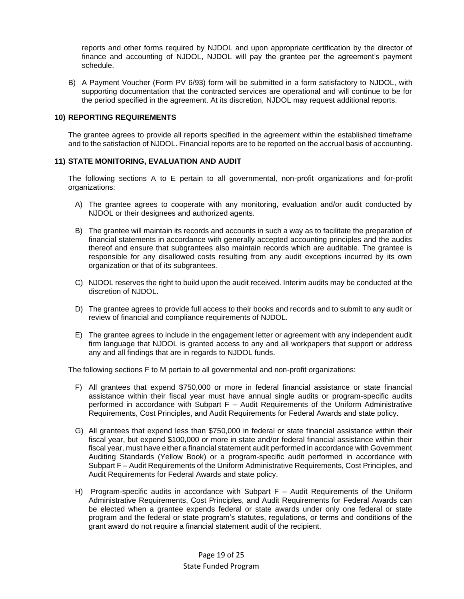reports and other forms required by NJDOL and upon appropriate certification by the director of finance and accounting of NJDOL, NJDOL will pay the grantee per the agreement's payment schedule.

B) A Payment Voucher (Form PV 6/93) form will be submitted in a form satisfactory to NJDOL, with supporting documentation that the contracted services are operational and will continue to be for the period specified in the agreement. At its discretion, NJDOL may request additional reports.

#### **10) REPORTING REQUIREMENTS**

The grantee agrees to provide all reports specified in the agreement within the established timeframe and to the satisfaction of NJDOL. Financial reports are to be reported on the accrual basis of accounting.

#### **11) STATE MONITORING, EVALUATION AND AUDIT**

The following sections A to E pertain to all governmental, non-profit organizations and for-profit organizations:

- A) The grantee agrees to cooperate with any monitoring, evaluation and/or audit conducted by NJDOL or their designees and authorized agents.
- B) The grantee will maintain its records and accounts in such a way as to facilitate the preparation of financial statements in accordance with generally accepted accounting principles and the audits thereof and ensure that subgrantees also maintain records which are auditable. The grantee is responsible for any disallowed costs resulting from any audit exceptions incurred by its own organization or that of its subgrantees.
- C) NJDOL reserves the right to build upon the audit received. Interim audits may be conducted at the discretion of NJDOL.
- D) The grantee agrees to provide full access to their books and records and to submit to any audit or review of financial and compliance requirements of NJDOL.
- E) The grantee agrees to include in the engagement letter or agreement with any independent audit firm language that NJDOL is granted access to any and all workpapers that support or address any and all findings that are in regards to NJDOL funds.

The following sections F to M pertain to all governmental and non-profit organizations:

- F) All grantees that expend \$750,000 or more in federal financial assistance or state financial assistance within their fiscal year must have annual single audits or program-specific audits performed in accordance with Subpart F – Audit Requirements of the Uniform Administrative Requirements, Cost Principles, and Audit Requirements for Federal Awards and state policy.
- G) All grantees that expend less than \$750,000 in federal or state financial assistance within their fiscal year, but expend \$100,000 or more in state and/or federal financial assistance within their fiscal year, must have either a financial statement audit performed in accordance with Government Auditing Standards (Yellow Book) or a program-specific audit performed in accordance with Subpart F – Audit Requirements of the Uniform Administrative Requirements, Cost Principles, and Audit Requirements for Federal Awards and state policy.
- H) Program-specific audits in accordance with Subpart F Audit Requirements of the Uniform Administrative Requirements, Cost Principles, and Audit Requirements for Federal Awards can be elected when a grantee expends federal or state awards under only one federal or state program and the federal or state program's statutes, regulations, or terms and conditions of the grant award do not require a financial statement audit of the recipient.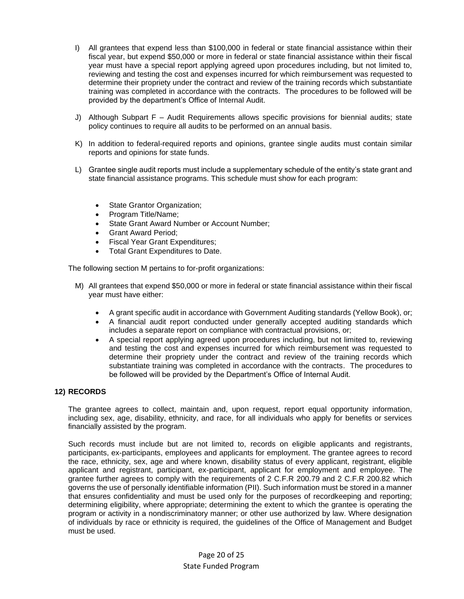- I) All grantees that expend less than \$100,000 in federal or state financial assistance within their fiscal year, but expend \$50,000 or more in federal or state financial assistance within their fiscal year must have a special report applying agreed upon procedures including, but not limited to, reviewing and testing the cost and expenses incurred for which reimbursement was requested to determine their propriety under the contract and review of the training records which substantiate training was completed in accordance with the contracts. The procedures to be followed will be provided by the department's Office of Internal Audit.
- J) Although Subpart F Audit Requirements allows specific provisions for biennial audits; state policy continues to require all audits to be performed on an annual basis.
- K) In addition to federal-required reports and opinions, grantee single audits must contain similar reports and opinions for state funds.
- L) Grantee single audit reports must include a supplementary schedule of the entity's state grant and state financial assistance programs. This schedule must show for each program:
	- State Grantor Organization;
	- Program Title/Name;
	- State Grant Award Number or Account Number;
	- Grant Award Period;
	- Fiscal Year Grant Expenditures;
	- Total Grant Expenditures to Date.

The following section M pertains to for-profit organizations:

- M) All grantees that expend \$50,000 or more in federal or state financial assistance within their fiscal year must have either:
	- A grant specific audit in accordance with Government Auditing standards (Yellow Book), or;
	- A financial audit report conducted under generally accepted auditing standards which includes a separate report on compliance with contractual provisions, or;
	- A special report applying agreed upon procedures including, but not limited to, reviewing and testing the cost and expenses incurred for which reimbursement was requested to determine their propriety under the contract and review of the training records which substantiate training was completed in accordance with the contracts. The procedures to be followed will be provided by the Department's Office of Internal Audit.

#### **12) RECORDS**

The grantee agrees to collect, maintain and, upon request, report equal opportunity information, including sex, age, disability, ethnicity, and race, for all individuals who apply for benefits or services financially assisted by the program.

Such records must include but are not limited to, records on eligible applicants and registrants, participants, ex-participants, employees and applicants for employment. The grantee agrees to record the race, ethnicity, sex, age and where known, disability status of every applicant, registrant, eligible applicant and registrant, participant, ex-participant, applicant for employment and employee. The grantee further agrees to comply with the requirements of 2 C.F.R 200.79 and 2 C.F.R 200.82 which governs the use of personally identifiable information (PII). Such information must be stored in a manner that ensures confidentiality and must be used only for the purposes of recordkeeping and reporting; determining eligibility, where appropriate; determining the extent to which the grantee is operating the program or activity in a nondiscriminatory manner; or other use authorized by law. Where designation of individuals by race or ethnicity is required, the guidelines of the Office of Management and Budget must be used.

> Page 20 of 25 State Funded Program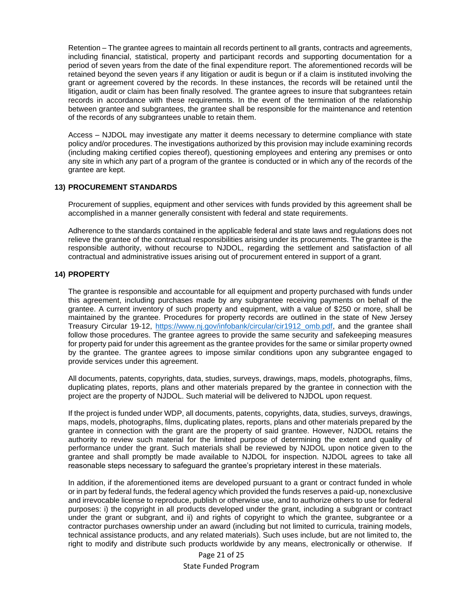Retention – The grantee agrees to maintain all records pertinent to all grants, contracts and agreements, including financial, statistical, property and participant records and supporting documentation for a period of seven years from the date of the final expenditure report. The aforementioned records will be retained beyond the seven years if any litigation or audit is begun or if a claim is instituted involving the grant or agreement covered by the records. In these instances, the records will be retained until the litigation, audit or claim has been finally resolved. The grantee agrees to insure that subgrantees retain records in accordance with these requirements. In the event of the termination of the relationship between grantee and subgrantees, the grantee shall be responsible for the maintenance and retention of the records of any subgrantees unable to retain them.

Access – NJDOL may investigate any matter it deems necessary to determine compliance with state policy and/or procedures. The investigations authorized by this provision may include examining records (including making certified copies thereof), questioning employees and entering any premises or onto any site in which any part of a program of the grantee is conducted or in which any of the records of the grantee are kept.

#### **13) PROCUREMENT STANDARDS**

Procurement of supplies, equipment and other services with funds provided by this agreement shall be accomplished in a manner generally consistent with federal and state requirements.

Adherence to the standards contained in the applicable federal and state laws and regulations does not relieve the grantee of the contractual responsibilities arising under its procurements. The grantee is the responsible authority, without recourse to NJDOL, regarding the settlement and satisfaction of all contractual and administrative issues arising out of procurement entered in support of a grant.

#### **14) PROPERTY**

The grantee is responsible and accountable for all equipment and property purchased with funds under this agreement, including purchases made by any subgrantee receiving payments on behalf of the grantee. A current inventory of such property and equipment, with a value of \$250 or more, shall be maintained by the grantee. Procedures for property records are outlined in the state of New Jersey Treasury Circular 19-12, [https://www.nj.gov/infobank/circular/cir1912\\_omb.pdf,](https://www.nj.gov/infobank/circular/cir1912_omb.pdf) and the grantee shall follow those procedures. The grantee agrees to provide the same security and safekeeping measures for property paid for under this agreement as the grantee provides for the same or similar property owned by the grantee. The grantee agrees to impose similar conditions upon any subgrantee engaged to provide services under this agreement.

All documents, patents, copyrights, data, studies, surveys, drawings, maps, models, photographs, films, duplicating plates, reports, plans and other materials prepared by the grantee in connection with the project are the property of NJDOL. Such material will be delivered to NJDOL upon request.

If the project is funded under WDP, all documents, patents, copyrights, data, studies, surveys, drawings, maps, models, photographs, films, duplicating plates, reports, plans and other materials prepared by the grantee in connection with the grant are the property of said grantee. However, NJDOL retains the authority to review such material for the limited purpose of determining the extent and quality of performance under the grant. Such materials shall be reviewed by NJDOL upon notice given to the grantee and shall promptly be made available to NJDOL for inspection. NJDOL agrees to take all reasonable steps necessary to safeguard the grantee's proprietary interest in these materials.

In addition, if the aforementioned items are developed pursuant to a grant or contract funded in whole or in part by federal funds, the federal agency which provided the funds reserves a paid-up, nonexclusive and irrevocable license to reproduce, publish or otherwise use, and to authorize others to use for federal purposes: i) the copyright in all products developed under the grant, including a subgrant or contract under the grant or subgrant, and ii) and rights of copyright to which the grantee, subgrantee or a contractor purchases ownership under an award (including but not limited to curricula, training models, technical assistance products, and any related materials). Such uses include, but are not limited to, the right to modify and distribute such products worldwide by any means, electronically or otherwise. If

> Page 21 of 25 State Funded Program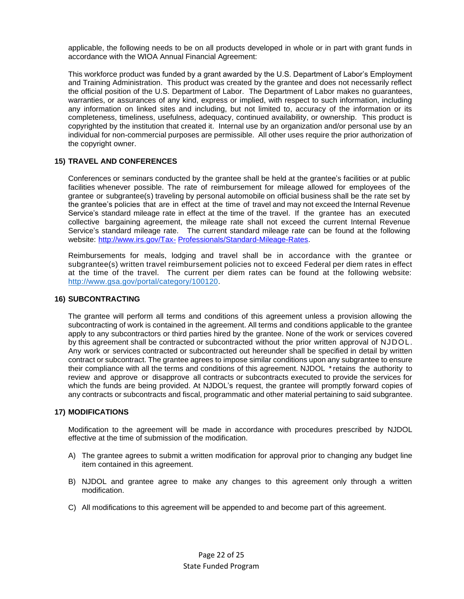applicable, the following needs to be on all products developed in whole or in part with grant funds in accordance with the WIOA Annual Financial Agreement:

This workforce product was funded by a grant awarded by the U.S. Department of Labor's Employment and Training Administration. This product was created by the grantee and does not necessarily reflect the official position of the U.S. Department of Labor. The Department of Labor makes no guarantees, warranties, or assurances of any kind, express or implied, with respect to such information, including any information on linked sites and including, but not limited to, accuracy of the information or its completeness, timeliness, usefulness, adequacy, continued availability, or ownership. This product is copyrighted by the institution that created it. Internal use by an organization and/or personal use by an individual for non-commercial purposes are permissible. All other uses require the prior authorization of the copyright owner.

#### **15) TRAVEL AND CONFERENCES**

Conferences or seminars conducted by the grantee shall be held at the grantee's facilities or at public facilities whenever possible. The rate of reimbursement for mileage allowed for employees of the grantee or subgrantee(s) traveling by personal automobile on official business shall be the rate set by the grantee's policies that are in effect at the time of travel and may not exceed the Internal Revenue Service's standard mileage rate in effect at the time of the travel. If the grantee has an executed collective bargaining agreement, the mileage rate shall not exceed the current Internal Revenue Service's standard mileage rate. The current standard mileage rate can be found at the following website: [http://www.irs.gov/Tax-](http://www.irs.gov/Tax-Professionals/Standard-Mileage-Rates) [Professionals/Standard-Mileage-Rates.](http://www.irs.gov/Tax-Professionals/Standard-Mileage-Rates)

Reimbursements for meals, lodging and travel shall be in accordance with the grantee or subgrantee(s) written travel reimbursement policies not to exceed Federal per diem rates in effect at the time of the travel. The current per diem rates can be found at the following website: [http://www.gsa.gov/portal/category/100120.](http://www.gsa.gov/portal/category/100120)

#### **16) SUBCONTRACTING**

The grantee will perform all terms and conditions of this agreement unless a provision allowing the subcontracting of work is contained in the agreement. All terms and conditions applicable to the grantee apply to any subcontractors or third parties hired by the grantee. None of the work or services covered by this agreement shall be contracted or subcontracted without the prior written approval of NJDOL. Any work or services contracted or subcontracted out hereunder shall be specified in detail by written contract or subcontract. The grantee agrees to impose similar conditions upon any subgrantee to ensure their compliance with all the terms and conditions of this agreement. NJDOL \* retains the authority to review and approve or disapprove all contracts or subcontracts executed to provide the services for which the funds are being provided. At NJDOL's request, the grantee will promptly forward copies of any contracts or subcontracts and fiscal, programmatic and other material pertaining to said subgrantee.

#### **17) MODIFICATIONS**

Modification to the agreement will be made in accordance with procedures prescribed by NJDOL effective at the time of submission of the modification.

- A) The grantee agrees to submit a written modification for approval prior to changing any budget line item contained in this agreement.
- B) NJDOL and grantee agree to make any changes to this agreement only through a written modification.
- C) All modifications to this agreement will be appended to and become part of this agreement.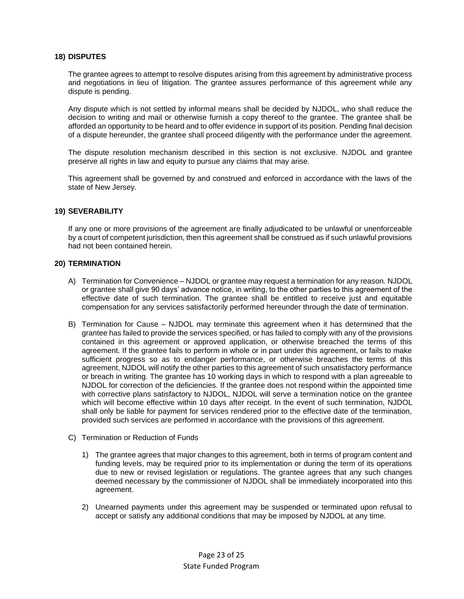#### **18) DISPUTES**

The grantee agrees to attempt to resolve disputes arising from this agreement by administrative process and negotiations in lieu of litigation. The grantee assures performance of this agreement while any dispute is pending.

Any dispute which is not settled by informal means shall be decided by NJDOL, who shall reduce the decision to writing and mail or otherwise furnish a copy thereof to the grantee. The grantee shall be afforded an opportunity to be heard and to offer evidence in support of its position. Pending final decision of a dispute hereunder, the grantee shall proceed diligently with the performance under the agreement.

The dispute resolution mechanism described in this section is not exclusive. NJDOL and grantee preserve all rights in law and equity to pursue any claims that may arise.

This agreement shall be governed by and construed and enforced in accordance with the laws of the state of New Jersey.

#### **19) SEVERABILITY**

If any one or more provisions of the agreement are finally adjudicated to be unlawful or unenforceable by a court of competent jurisdiction, then this agreement shall be construed as if such unlawful provisions had not been contained herein.

#### **20) TERMINATION**

- A) Termination for Convenience NJDOL or grantee may request a termination for any reason. NJDOL or grantee shall give 90 days' advance notice, in writing, to the other parties to this agreement of the effective date of such termination. The grantee shall be entitled to receive just and equitable compensation for any services satisfactorily performed hereunder through the date of termination.
- B) Termination for Cause NJDOL may terminate this agreement when it has determined that the grantee has failed to provide the services specified, or has failed to comply with any of the provisions contained in this agreement or approved application, or otherwise breached the terms of this agreement. If the grantee fails to perform in whole or in part under this agreement, or fails to make sufficient progress so as to endanger performance, or otherwise breaches the terms of this agreement, NJDOL will notify the other parties to this agreement of such unsatisfactory performance or breach in writing. The grantee has 10 working days in which to respond with a plan agreeable to NJDOL for correction of the deficiencies. If the grantee does not respond within the appointed time with corrective plans satisfactory to NJDOL, NJDOL will serve a termination notice on the grantee which will become effective within 10 days after receipt. In the event of such termination, NJDOL shall only be liable for payment for services rendered prior to the effective date of the termination, provided such services are performed in accordance with the provisions of this agreement.
- C) Termination or Reduction of Funds
	- 1) The grantee agrees that major changes to this agreement, both in terms of program content and funding levels, may be required prior to its implementation or during the term of its operations due to new or revised legislation or regulations. The grantee agrees that any such changes deemed necessary by the commissioner of NJDOL shall be immediately incorporated into this agreement.
	- 2) Unearned payments under this agreement may be suspended or terminated upon refusal to accept or satisfy any additional conditions that may be imposed by NJDOL at any time.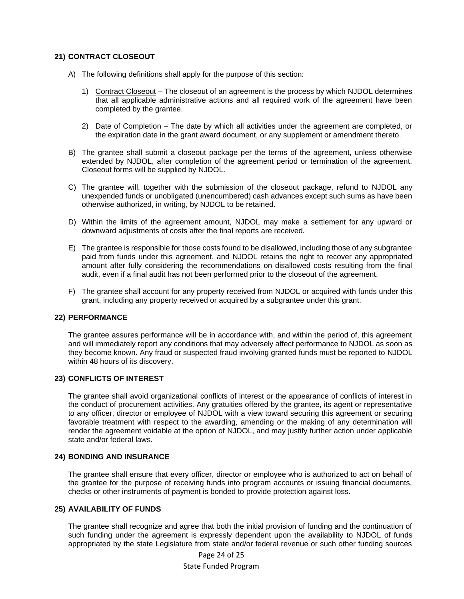#### **21) CONTRACT CLOSEOUT**

- A) The following definitions shall apply for the purpose of this section:
	- 1) Contract Closeout The closeout of an agreement is the process by which NJDOL determines that all applicable administrative actions and all required work of the agreement have been completed by the grantee.
	- 2) Date of Completion The date by which all activities under the agreement are completed, or the expiration date in the grant award document, or any supplement or amendment thereto.
- B) The grantee shall submit a closeout package per the terms of the agreement, unless otherwise extended by NJDOL, after completion of the agreement period or termination of the agreement. Closeout forms will be supplied by NJDOL.
- C) The grantee will, together with the submission of the closeout package, refund to NJDOL any unexpended funds or unobligated (unencumbered) cash advances except such sums as have been otherwise authorized, in writing, by NJDOL to be retained.
- D) Within the limits of the agreement amount, NJDOL may make a settlement for any upward or downward adjustments of costs after the final reports are received.
- E) The grantee is responsible for those costs found to be disallowed, including those of any subgrantee paid from funds under this agreement, and NJDOL retains the right to recover any appropriated amount after fully considering the recommendations on disallowed costs resulting from the final audit, even if a final audit has not been performed prior to the closeout of the agreement.
- F) The grantee shall account for any property received from NJDOL or acquired with funds under this grant, including any property received or acquired by a subgrantee under this grant.

#### **22) PERFORMANCE**

The grantee assures performance will be in accordance with, and within the period of, this agreement and will immediately report any conditions that may adversely affect performance to NJDOL as soon as they become known. Any fraud or suspected fraud involving granted funds must be reported to NJDOL within 48 hours of its discovery.

### **23) CONFLICTS OF INTEREST**

The grantee shall avoid organizational conflicts of interest or the appearance of conflicts of interest in the conduct of procurement activities. Any gratuities offered by the grantee, its agent or representative to any officer, director or employee of NJDOL with a view toward securing this agreement or securing favorable treatment with respect to the awarding, amending or the making of any determination will render the agreement voidable at the option of NJDOL, and may justify further action under applicable state and/or federal laws.

#### **24) BONDING AND INSURANCE**

The grantee shall ensure that every officer, director or employee who is authorized to act on behalf of the grantee for the purpose of receiving funds into program accounts or issuing financial documents, checks or other instruments of payment is bonded to provide protection against loss.

#### **25) AVAILABILITY OF FUNDS**

The grantee shall recognize and agree that both the initial provision of funding and the continuation of such funding under the agreement is expressly dependent upon the availability to NJDOL of funds appropriated by the state Legislature from state and/or federal revenue or such other funding sources

> Page 24 of 25 State Funded Program